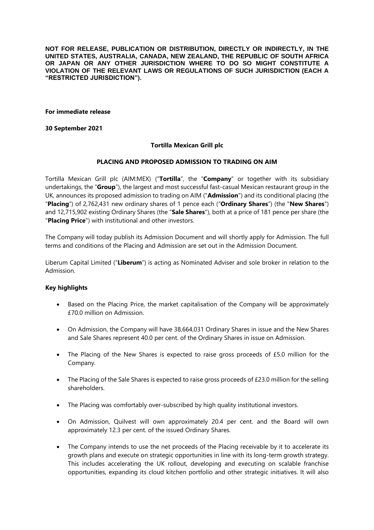**NOT FOR RELEASE, PUBLICATION OR DISTRIBUTION, DIRECTLY OR INDIRECTLY, IN THE UNITED STATES, AUSTRALIA, CANADA, NEW ZEALAND, THE REPUBLIC OF SOUTH AFRICA OR JAPAN OR ANY OTHER JURISDICTION WHERE TO DO SO MIGHT CONSTITUTE A VIOLATION OF THE RELEVANT LAWS OR REGULATIONS OF SUCH JURISDICTION (EACH A "RESTRICTED JURISDICTION").**

**For immediate release**

**30 September 2021**

#### **Tortilla Mexican Grill plc**

#### **PLACING AND PROPOSED ADMISSION TO TRADING ON AIM**

Tortilla Mexican Grill plc (AIM:MEX) ("**Tortilla**", the "**Company**" or together with its subsidiary undertakings, the "**Group**"), the largest and most successful fast-casual Mexican restaurant group in the UK, announces its proposed admission to trading on AIM ("**Admission**") and its conditional placing (the "**Placing**") of 2,762,431 new ordinary shares of 1 pence each ("**Ordinary Shares**") (the "**New Shares**") and 12,715,902 existing Ordinary Shares (the "**Sale Shares**"), both at a price of 181 pence per share (the "**Placing Price**") with institutional and other investors.

The Company will today publish its Admission Document and will shortly apply for Admission. The full terms and conditions of the Placing and Admission are set out in the Admission Document.

Liberum Capital Limited ("**Liberum**") is acting as Nominated Adviser and sole broker in relation to the Admission.

#### **Key highlights**

- Based on the Placing Price, the market capitalisation of the Company will be approximately £70.0 million on Admission.
- On Admission, the Company will have 38,664,031 Ordinary Shares in issue and the New Shares and Sale Shares represent 40.0 per cent. of the Ordinary Shares in issue on Admission.
- The Placing of the New Shares is expected to raise gross proceeds of £5.0 million for the Company.
- The Placing of the Sale Shares is expected to raise gross proceeds of £23.0 million for the selling shareholders.
- The Placing was comfortably over-subscribed by high quality institutional investors.
- On Admission, Quilvest will own approximately 20.4 per cent. and the Board will own approximately 12.3 per cent. of the issued Ordinary Shares.
- The Company intends to use the net proceeds of the Placing receivable by it to accelerate its growth plans and execute on strategic opportunities in line with its long-term growth strategy. This includes accelerating the UK rollout, developing and executing on scalable franchise opportunities, expanding its cloud kitchen portfolio and other strategic initiatives. It will also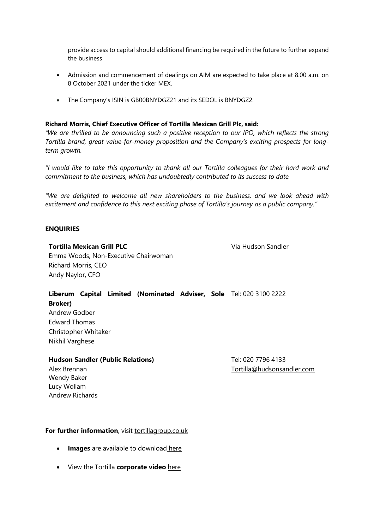provide access to capital should additional financing be required in the future to further expand the business

- Admission and commencement of dealings on AIM are expected to take place at 8.00 a.m. on 8 October 2021 under the ticker MEX.
- The Company's ISIN is GB00BNYDGZ21 and its SEDOL is BNYDGZ2.

# **Richard Morris, Chief Executive Officer of Tortilla Mexican Grill Plc, said:**

*"We are thrilled to be announcing such a positive reception to our IPO, which reflects the strong Tortilla brand, great value-for-money proposition and the Company's exciting prospects for longterm growth.*

"I would like to take this opportunity to thank all our Tortilla colleagues for their hard work and *commitment to the business, which has undoubtedly contributed to its success to date.*

*"We are delighted to welcome all new shareholders to the business, and we look ahead with excitement and confidence to this next exciting phase of Tortilla's journey as a public company."*

#### **ENQUIRIES**

# **Tortilla Mexican Grill PLC Via Hudson Sandler**

Emma Woods, Non-Executive Chairwoman Richard Morris, CEO Andy Naylor, CFO

# **Liberum Capital Limited (Nominated Adviser, Sole**  Tel: 020 3100 2222 **Broker)**

Andrew Godber Edward Thomas Christopher Whitaker Nikhil Varghese

#### **Hudson Sandler (Public Relations)** Tel: 020 7796 4133

[Tortilla@hudsonsandler.com](mailto:Tortilla@hudsonsandler.com)

Alex Brennan Wendy Baker Lucy Wollam Andrew Richards

# **For further information**, visit [tortillagroup.co.uk](https://tortillagroup.co.uk/)

- **Images** are available to download [here](https://tortillagroup.co.uk/image-gallery/)
- View the Tortilla **corporate video** [here](https://youtu.be/EJKYQZS3wGQ)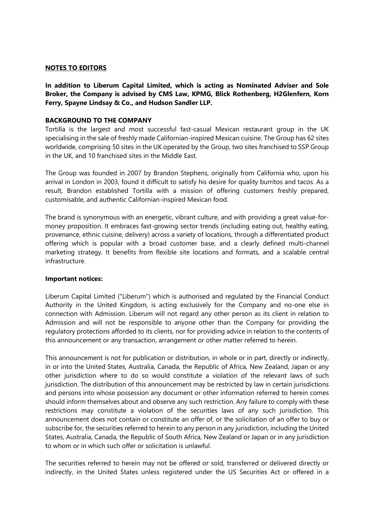# **NOTES TO EDITORS**

**In addition to Liberum Capital Limited, which is acting as Nominated Adviser and Sole Broker, the Company is advised by CMS Law, KPMG, Blick Rothenberg, H2Glenfern, Korn Ferry, Spayne Lindsay & Co., and Hudson Sandler LLP.**

# **BACKGROUND TO THE COMPANY**

Tortilla is the largest and most successful fast-casual Mexican restaurant group in the UK specialising in the sale of freshly made Californian-inspired Mexican cuisine. The Group has 62 sites worldwide, comprising 50 sites in the UK operated by the Group, two sites franchised to SSP Group in the UK, and 10 franchised sites in the Middle East.

The Group was founded in 2007 by Brandon Stephens, originally from California who, upon his arrival in London in 2003, found it difficult to satisfy his desire for quality burritos and tacos. As a result, Brandon established Tortilla with a mission of offering customers freshly prepared, customisable, and authentic Californian-inspired Mexican food.

The brand is synonymous with an energetic, vibrant culture, and with providing a great value-formoney proposition. It embraces fast-growing sector trends (including eating out, healthy eating, provenance, ethnic cuisine, delivery) across a variety of locations, through a differentiated product offering which is popular with a broad customer base, and a clearly defined multi-channel marketing strategy. It benefits from flexible site locations and formats, and a scalable central infrastructure.

#### **Important notices:**

Liberum Capital Limited ("Liberum") which is authorised and regulated by the Financial Conduct Authority in the United Kingdom, is acting exclusively for the Company and no-one else in connection with Admission. Liberum will not regard any other person as its client in relation to Admission and will not be responsible to anyone other than the Company for providing the regulatory protections afforded to its clients, nor for providing advice in relation to the contents of this announcement or any transaction, arrangement or other matter referred to herein.

This announcement is not for publication or distribution, in whole or in part, directly or indirectly, in or into the United States, Australia, Canada, the Republic of Africa, New Zealand, Japan or any other jurisdiction where to do so would constitute a violation of the relevant laws of such jurisdiction. The distribution of this announcement may be restricted by law in certain jurisdictions and persons into whose possession any document or other information referred to herein comes should inform themselves about and observe any such restriction. Any failure to comply with these restrictions may constitute a violation of the securities laws of any such jurisdiction. This announcement does not contain or constitute an offer of, or the solicitation of an offer to buy or subscribe for, the securities referred to herein to any person in any jurisdiction, including the United States, Australia, Canada, the Republic of South Africa, New Zealand or Japan or in any jurisdiction to whom or in which such offer or solicitation is unlawful.

The securities referred to herein may not be offered or sold, transferred or delivered directly or indirectly, in the United States unless registered under the US Securities Act or offered in a